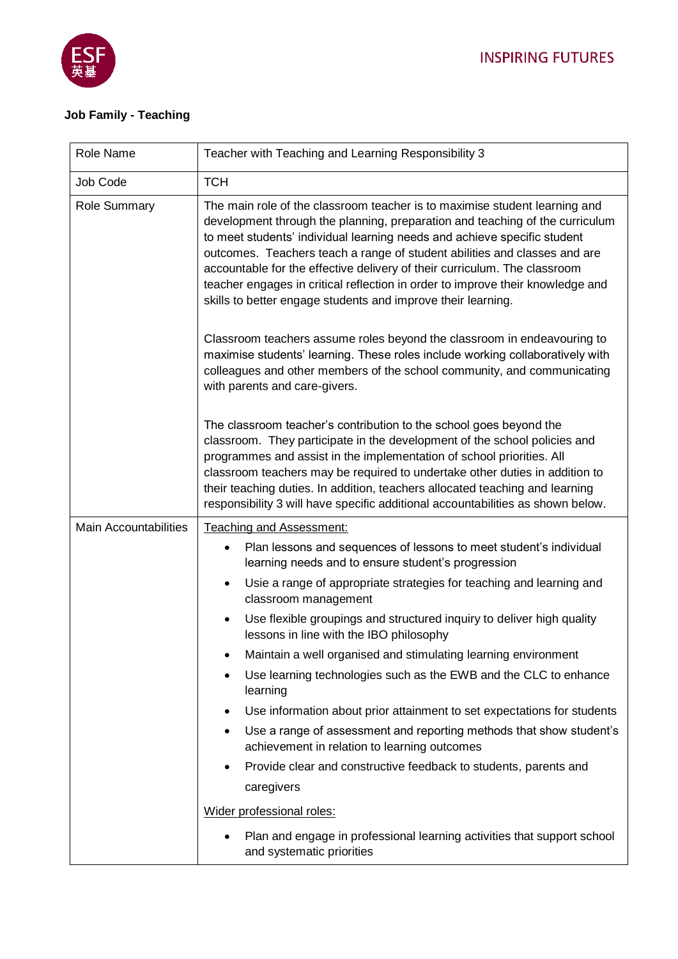

## **Job Family - Teaching**

| Role Name                    | Teacher with Teaching and Learning Responsibility 3                                                                                                                                                                                                                                                                                                                                                                                                                                                                                                |
|------------------------------|----------------------------------------------------------------------------------------------------------------------------------------------------------------------------------------------------------------------------------------------------------------------------------------------------------------------------------------------------------------------------------------------------------------------------------------------------------------------------------------------------------------------------------------------------|
| Job Code                     | <b>TCH</b>                                                                                                                                                                                                                                                                                                                                                                                                                                                                                                                                         |
| <b>Role Summary</b>          | The main role of the classroom teacher is to maximise student learning and<br>development through the planning, preparation and teaching of the curriculum<br>to meet students' individual learning needs and achieve specific student<br>outcomes. Teachers teach a range of student abilities and classes and are<br>accountable for the effective delivery of their curriculum. The classroom<br>teacher engages in critical reflection in order to improve their knowledge and<br>skills to better engage students and improve their learning. |
|                              | Classroom teachers assume roles beyond the classroom in endeavouring to<br>maximise students' learning. These roles include working collaboratively with<br>colleagues and other members of the school community, and communicating<br>with parents and care-givers.                                                                                                                                                                                                                                                                               |
|                              | The classroom teacher's contribution to the school goes beyond the<br>classroom. They participate in the development of the school policies and<br>programmes and assist in the implementation of school priorities. All<br>classroom teachers may be required to undertake other duties in addition to<br>their teaching duties. In addition, teachers allocated teaching and learning<br>responsibility 3 will have specific additional accountabilities as shown below.                                                                         |
| <b>Main Accountabilities</b> | Teaching and Assessment:                                                                                                                                                                                                                                                                                                                                                                                                                                                                                                                           |
|                              | Plan lessons and sequences of lessons to meet student's individual<br>learning needs and to ensure student's progression                                                                                                                                                                                                                                                                                                                                                                                                                           |
|                              | Usie a range of appropriate strategies for teaching and learning and<br>$\bullet$<br>classroom management                                                                                                                                                                                                                                                                                                                                                                                                                                          |
|                              | Use flexible groupings and structured inquiry to deliver high quality<br>$\bullet$<br>lessons in line with the IBO philosophy                                                                                                                                                                                                                                                                                                                                                                                                                      |
|                              | Maintain a well organised and stimulating learning environment                                                                                                                                                                                                                                                                                                                                                                                                                                                                                     |
|                              | Use learning technologies such as the EWB and the CLC to enhance<br>$\bullet$<br>learning                                                                                                                                                                                                                                                                                                                                                                                                                                                          |
|                              | Use information about prior attainment to set expectations for students<br>٠                                                                                                                                                                                                                                                                                                                                                                                                                                                                       |
|                              | Use a range of assessment and reporting methods that show student's<br>$\bullet$<br>achievement in relation to learning outcomes                                                                                                                                                                                                                                                                                                                                                                                                                   |
|                              | Provide clear and constructive feedback to students, parents and                                                                                                                                                                                                                                                                                                                                                                                                                                                                                   |
|                              | caregivers                                                                                                                                                                                                                                                                                                                                                                                                                                                                                                                                         |
|                              | Wider professional roles:                                                                                                                                                                                                                                                                                                                                                                                                                                                                                                                          |
|                              | Plan and engage in professional learning activities that support school<br>and systematic priorities                                                                                                                                                                                                                                                                                                                                                                                                                                               |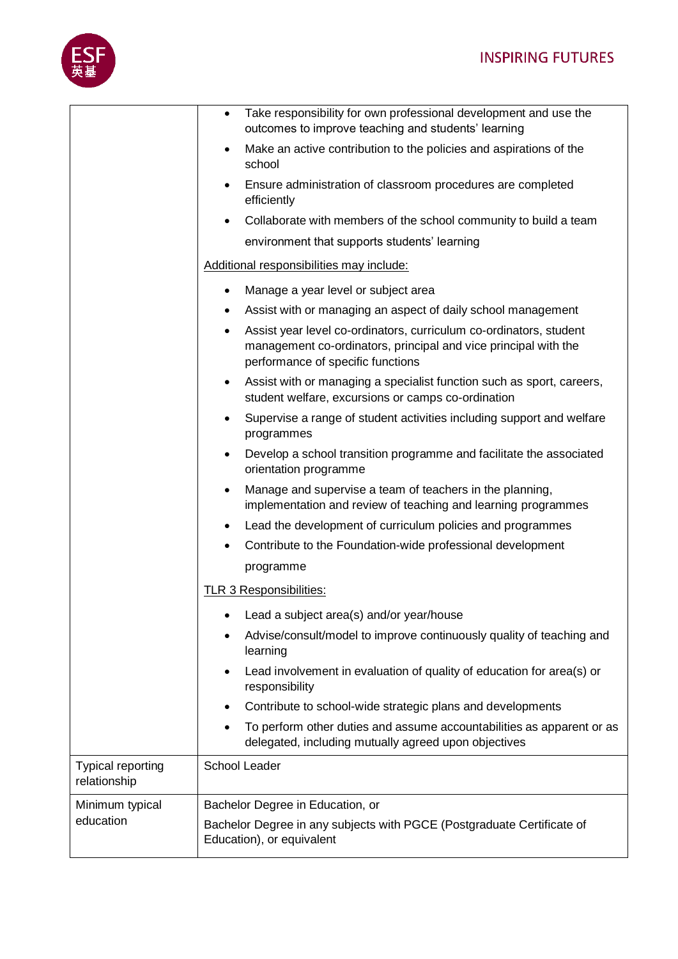

|                                          | Take responsibility for own professional development and use the<br>$\bullet$<br>outcomes to improve teaching and students' learning                                                    |
|------------------------------------------|-----------------------------------------------------------------------------------------------------------------------------------------------------------------------------------------|
|                                          | Make an active contribution to the policies and aspirations of the<br>school                                                                                                            |
|                                          | Ensure administration of classroom procedures are completed<br>efficiently                                                                                                              |
|                                          | Collaborate with members of the school community to build a team<br>$\bullet$                                                                                                           |
|                                          | environment that supports students' learning                                                                                                                                            |
|                                          | Additional responsibilities may include:                                                                                                                                                |
|                                          | Manage a year level or subject area<br>٠                                                                                                                                                |
|                                          | Assist with or managing an aspect of daily school management<br>٠                                                                                                                       |
|                                          | Assist year level co-ordinators, curriculum co-ordinators, student<br>$\bullet$<br>management co-ordinators, principal and vice principal with the<br>performance of specific functions |
|                                          | Assist with or managing a specialist function such as sport, careers,<br>٠<br>student welfare, excursions or camps co-ordination                                                        |
|                                          | Supervise a range of student activities including support and welfare<br>$\bullet$<br>programmes                                                                                        |
|                                          | Develop a school transition programme and facilitate the associated<br>$\bullet$<br>orientation programme                                                                               |
|                                          | Manage and supervise a team of teachers in the planning,<br>$\bullet$<br>implementation and review of teaching and learning programmes                                                  |
|                                          | Lead the development of curriculum policies and programmes<br>٠                                                                                                                         |
|                                          | Contribute to the Foundation-wide professional development                                                                                                                              |
|                                          | programme                                                                                                                                                                               |
|                                          | TLR 3 Responsibilities:                                                                                                                                                                 |
|                                          | Lead a subject area(s) and/or year/house                                                                                                                                                |
|                                          | Advise/consult/model to improve continuously quality of teaching and<br>learning                                                                                                        |
|                                          | Lead involvement in evaluation of quality of education for area(s) or<br>$\bullet$<br>responsibility                                                                                    |
|                                          | Contribute to school-wide strategic plans and developments<br>٠                                                                                                                         |
|                                          | To perform other duties and assume accountabilities as apparent or as<br>$\bullet$<br>delegated, including mutually agreed upon objectives                                              |
| <b>Typical reporting</b><br>relationship | <b>School Leader</b>                                                                                                                                                                    |
| Minimum typical                          | Bachelor Degree in Education, or                                                                                                                                                        |
| education                                | Bachelor Degree in any subjects with PGCE (Postgraduate Certificate of<br>Education), or equivalent                                                                                     |